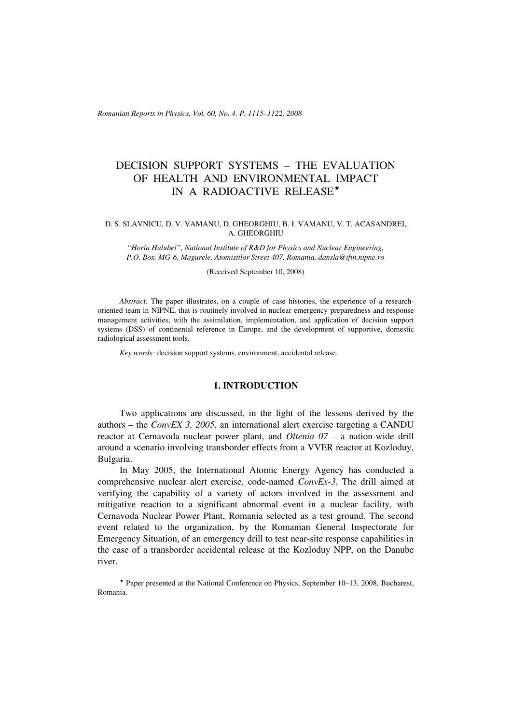*Romanian Reports in Physics, Vol. 60, No. 4, P. 1115–1122, 2008*

# DECISION SUPPORT SYSTEMS – THE EVALUATION OF HEALTH AND ENVIRONMENTAL IMPACT IN A RADIOACTIVE RELEASE

## D. S. SLAVNICU, D. V. VAMANU, D. GHEORGHIU, B. I. VAMANU, V. T. ACASANDREI, A. GHEORGHIU

*"Horia Hulubei", National Institute of R&D for Physics and Nuclear Engineering, P.O. Box. MG-6, Magurele, Atomistilor Street 407, Romania, dansla@ifin.nipne.ro*

(Received September 10, 2008)

*Abstract.* The paper illustrates, on a couple of case histories, the experience of a researchoriented team in NIPNE, that is routinely involved in nuclear emergency preparedness and response management activities, with the assimilation, implementation, and application of decision support systems (DSS) of continental reference in Europe, and the development of supportive, domestic radiological assessment tools.

*Key words:* decision support systems, environment, accidental release.

### **1. INTRODUCTION**

Two applications are discussed, in the light of the lessons derived by the authors – the *ConvEX 3, 2005*, an international alert exercise targeting a CANDU reactor at Cernavoda nuclear power plant, and *Oltenia 07* – a nation-wide drill around a scenario involving transborder effects from a VVER reactor at Kozloduy, Bulgaria.

In May 2005, the International Atomic Energy Agency has conducted a comprehensive nuclear alert exercise, code-named *ConvEx-3.* The drill aimed at verifying the capability of a variety of actors involved in the assessment and mitigative reaction to a significant abnormal event in a nuclear facility, with Cernavoda Nuclear Power Plant, Romania selected as a test ground. The second event related to the organization, by the Romanian General Inspectorate for Emergency Situation, of an emergency drill to test near-site response capabilities in the case of a transborder accidental release at the Kozloduy NPP, on the Danube river.

 Paper presented at the National Conference on Physics, September 10–13, 2008, Bucharest, Romania.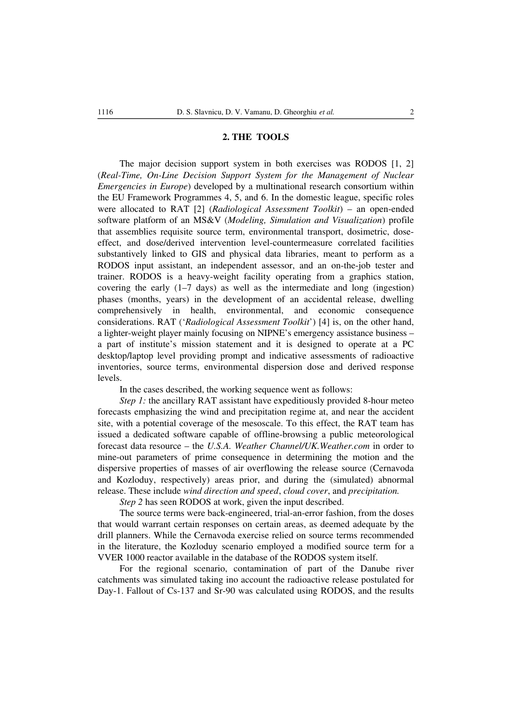#### **2. THE TOOLS**

The major decision support system in both exercises was RODOS [1, 2] (*Real-Time, On-Line Decision Support System for the Management of Nuclear Emergencies in Europe*) developed by a multinational research consortium within the EU Framework Programmes 4, 5, and 6. In the domestic league, specific roles were allocated to RAT [2] (*Radiological Assessment Toolkit*) – an open-ended software platform of an MS&V (*Modeling, Simulation and Visualization*) profile that assemblies requisite source term, environmental transport, dosimetric, doseeffect, and dose/derived intervention level-countermeasure correlated facilities substantively linked to GIS and physical data libraries, meant to perform as a RODOS input assistant, an independent assessor, and an on-the-job tester and trainer. RODOS is a heavy-weight facility operating from a graphics station, covering the early (1–7 days) as well as the intermediate and long (ingestion) phases (months, years) in the development of an accidental release, dwelling comprehensively in health, environmental, and economic consequence considerations. RAT ('*Radiological Assessment Toolkit*') [4] is, on the other hand, a lighter-weight player mainly focusing on NIPNE's emergency assistance business – a part of institute's mission statement and it is designed to operate at a PC desktop/laptop level providing prompt and indicative assessments of radioactive inventories, source terms, environmental dispersion dose and derived response levels.

In the cases described, the working sequence went as follows:

*Step 1:* the ancillary RAT assistant have expeditiously provided 8-hour meteo forecasts emphasizing the wind and precipitation regime at, and near the accident site, with a potential coverage of the mesoscale. To this effect, the RAT team has issued a dedicated software capable of offline-browsing a public meteorological forecast data resource – the *U.S.A. Weather Channel/UK.Weather.com* in order to mine-out parameters of prime consequence in determining the motion and the dispersive properties of masses of air overflowing the release source (Cernavoda and Kozloduy, respectively) areas prior, and during the (simulated) abnormal release. These include *wind direction and speed*, *cloud cover*, and *precipitation.*

*Step 2* has seen RODOS at work, given the input described.

The source terms were back-engineered, trial-an-error fashion, from the doses that would warrant certain responses on certain areas, as deemed adequate by the drill planners. While the Cernavoda exercise relied on source terms recommended in the literature, the Kozloduy scenario employed a modified source term for a VVER 1000 reactor available in the database of the RODOS system itself.

For the regional scenario, contamination of part of the Danube river catchments was simulated taking ino account the radioactive release postulated for Day-1. Fallout of Cs-137 and Sr-90 was calculated using RODOS, and the results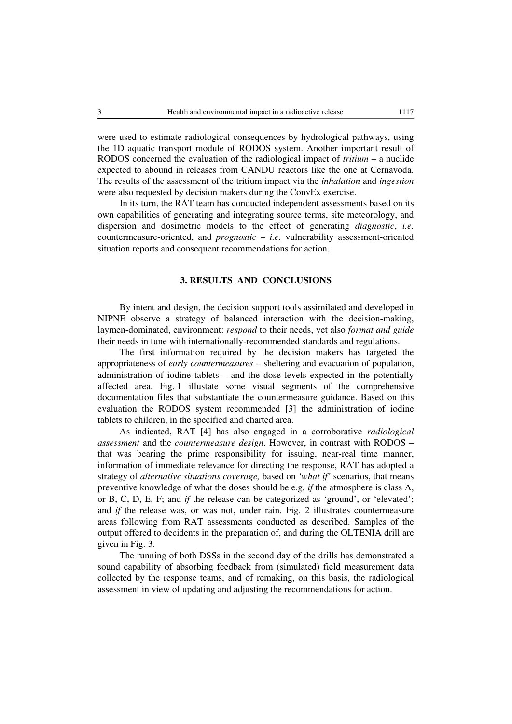were used to estimate radiological consequences by hydrological pathways, using the 1D aquatic transport module of RODOS system. Another important result of RODOS concerned the evaluation of the radiological impact of *tritium* – a nuclide expected to abound in releases from CANDU reactors like the one at Cernavoda. The results of the assessment of the tritium impact via the *inhalation* and *ingestion* were also requested by decision makers during the ConvEx exercise.

In its turn, the RAT team has conducted independent assessments based on its own capabilities of generating and integrating source terms, site meteorology, and dispersion and dosimetric models to the effect of generating *diagnostic*, *i.e.* countermeasure-oriented, and *prognostic* – *i.e.* vulnerability assessment-oriented situation reports and consequent recommendations for action.

# **3. RESULTS AND CONCLUSIONS**

By intent and design, the decision support tools assimilated and developed in NIPNE observe a strategy of balanced interaction with the decision-making, laymen-dominated, environment: *respond* to their needs, yet also *format and guide* their needs in tune with internationally-recommended standards and regulations.

The first information required by the decision makers has targeted the appropriateness of *early countermeasures* – sheltering and evacuation of population, administration of iodine tablets – and the dose levels expected in the potentially affected area. Fig. 1 illustate some visual segments of the comprehensive documentation files that substantiate the countermeasure guidance. Based on this evaluation the RODOS system recommended [3] the administration of iodine tablets to children, in the specified and charted area.

As indicated, RAT [4] has also engaged in a corroborative *radiological assessment* and the *countermeasure design*. However, in contrast with RODOS – that was bearing the prime responsibility for issuing, near-real time manner, information of immediate relevance for directing the response, RAT has adopted a strategy of *alternative situations coverage,* based on *'what if'* scenarios, that means preventive knowledge of what the doses should be e.g*. if* the atmosphere is class A, or B, C, D, E, F; and *if* the release can be categorized as 'ground', or 'elevated'; and *if* the release was, or was not, under rain. Fig. 2 illustrates countermeasure areas following from RAT assessments conducted as described. Samples of the output offered to decidents in the preparation of, and during the OLTENIA drill are given in Fig. 3.

The running of both DSSs in the second day of the drills has demonstrated a sound capability of absorbing feedback from (simulated) field measurement data collected by the response teams, and of remaking, on this basis, the radiological assessment in view of updating and adjusting the recommendations for action.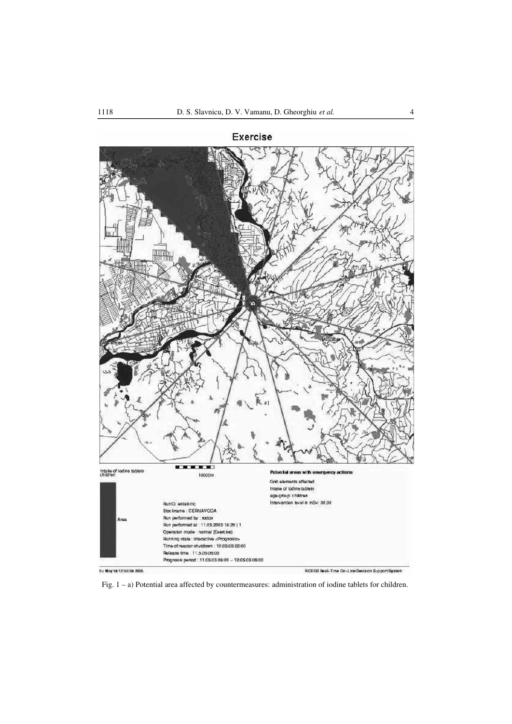

Fig. 1 – a) Potential area affected by countermeasures: administration of iodine tablets for children.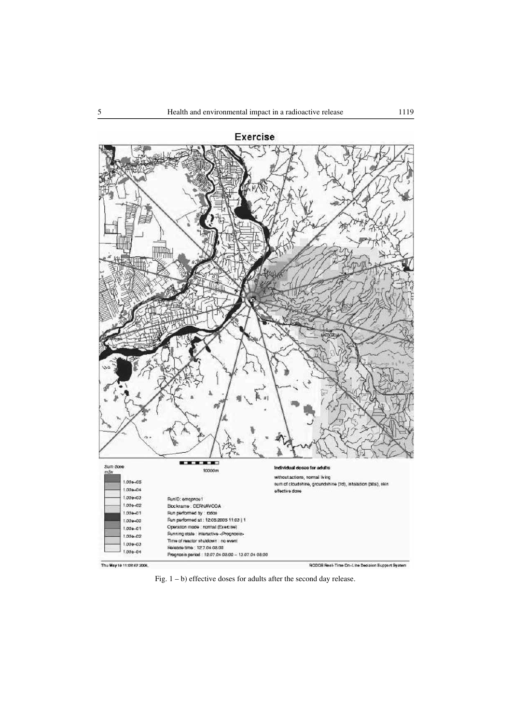

Fig. 1 – b) effective doses for adults after the second day release.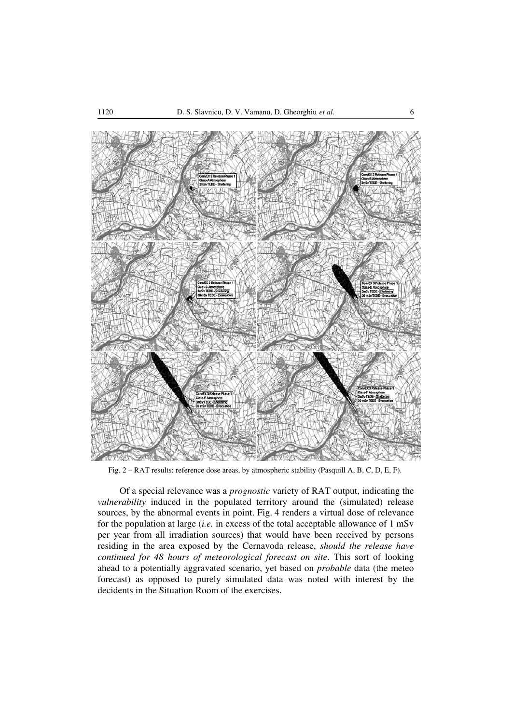

Fig. 2 – RAT results: reference dose areas, by atmospheric stability (Pasquill A, B, C, D, E, F).

Of a special relevance was a *prognostic* variety of RAT output, indicating the *vulnerability* induced in the populated territory around the (simulated) release sources, by the abnormal events in point. Fig. 4 renders a virtual dose of relevance for the population at large (*i.e.* in excess of the total acceptable allowance of 1 mSv per year from all irradiation sources) that would have been received by persons residing in the area exposed by the Cernavoda release, *should the release have continued for 48 hours of meteorological forecast on site*. This sort of looking ahead to a potentially aggravated scenario, yet based on *probable* data (the meteo forecast) as opposed to purely simulated data was noted with interest by the decidents in the Situation Room of the exercises.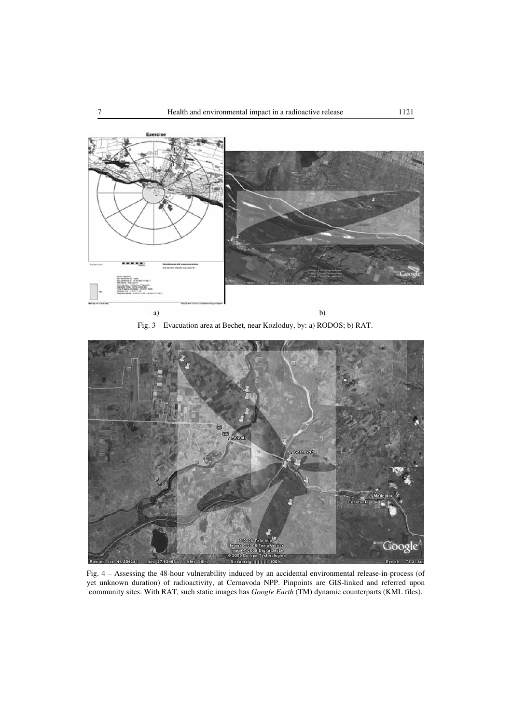

Fig. 3 – Evacuation area at Bechet, near Kozloduy, by: a) RODOS; b) RAT.



Fig. 4 – Assessing the 48-hour vulnerability induced by an accidental environmental release-in-process (of yet unknown duration) of radioactivity, at Cernavoda NPP. Pinpoints are GIS-linked and referred upon community sites. With RAT, such static images has *Google Earth* (TM) dynamic counterparts (KML files).